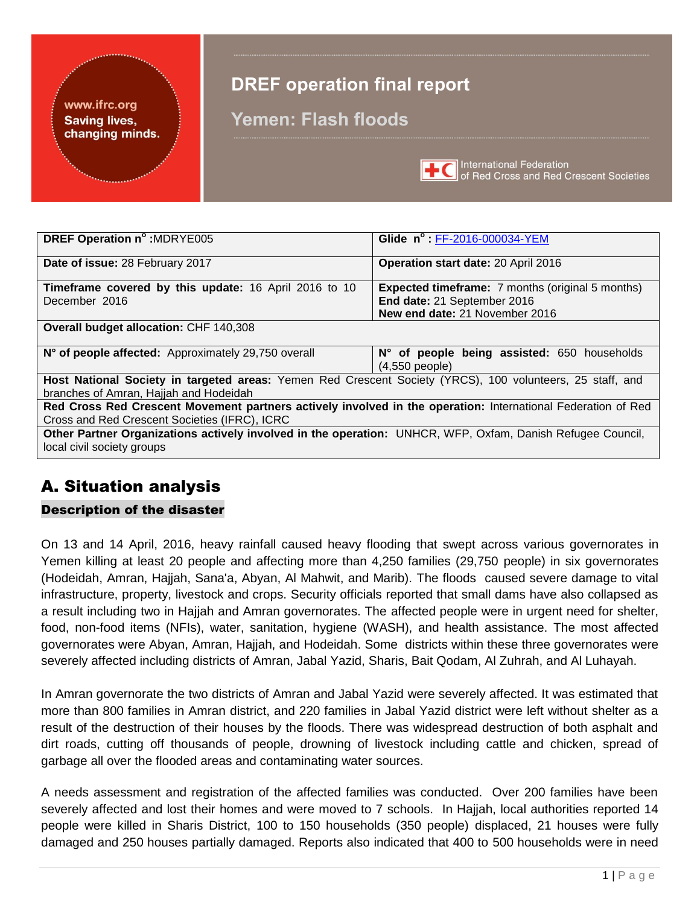### www.ifrc.org **Saving lives,** changing minds.

# **DREF operation final report**

# **Yemen: Flash floods**



International Federation<br>of Red Cross and Red Crescent Societies

| DREF Operation n° : MDRYE005                                                                                                             | Glide n°: FF-2016-000034-YEM                                    |  |  |  |  |  |
|------------------------------------------------------------------------------------------------------------------------------------------|-----------------------------------------------------------------|--|--|--|--|--|
| Date of issue: 28 February 2017                                                                                                          | Operation start date: 20 April 2016                             |  |  |  |  |  |
| <b>Timeframe covered by this update: 16 April 2016 to 10</b>                                                                             | <b>Expected timeframe:</b> 7 months (original 5 months)         |  |  |  |  |  |
| December 2016                                                                                                                            | End date: 21 September 2016                                     |  |  |  |  |  |
|                                                                                                                                          | New end date: 21 November 2016                                  |  |  |  |  |  |
| <b>Overall budget allocation: CHF 140,308</b>                                                                                            |                                                                 |  |  |  |  |  |
| N° of people affected: Approximately 29,750 overall                                                                                      | N° of people being assisted: 650 households<br>$(4,550$ people) |  |  |  |  |  |
| Host National Society in targeted areas: Yemen Red Crescent Society (YRCS), 100 volunteers, 25 staff, and                                |                                                                 |  |  |  |  |  |
| branches of Amran, Hajjah and Hodeidah                                                                                                   |                                                                 |  |  |  |  |  |
| Red Cross Red Crescent Movement partners actively involved in the operation: International Federation of Red                             |                                                                 |  |  |  |  |  |
| Cross and Red Crescent Societies (IFRC), ICRC                                                                                            |                                                                 |  |  |  |  |  |
| Other Partner Organizations actively involved in the operation: UNHCR, WFP, Oxfam, Danish Refugee Council,<br>local civil society groups |                                                                 |  |  |  |  |  |

# A. Situation analysis

### Description of the disaster

On 13 and 14 April, 2016, heavy rainfall caused heavy flooding that swept across various governorates in Yemen killing at least 20 people and affecting more than 4,250 families (29,750 people) in six governorates (Hodeidah, Amran, Hajjah, Sana'a, Abyan, Al Mahwit, and Marib). The floods caused severe damage to vital infrastructure, property, livestock and crops. Security officials reported that small dams have also collapsed as a result including two in Hajjah and Amran governorates. The affected people were in urgent need for shelter, food, non-food items (NFIs), water, sanitation, hygiene (WASH), and health assistance. The most affected governorates were Abyan, Amran, Hajjah, and Hodeidah. Some districts within these three governorates were severely affected including districts of Amran, Jabal Yazid, Sharis, Bait Qodam, Al Zuhrah, and Al Luhayah.

In Amran governorate the two districts of Amran and Jabal Yazid were severely affected. It was estimated that more than 800 families in Amran district, and 220 families in Jabal Yazid district were left without shelter as a result of the destruction of their houses by the floods. There was widespread destruction of both asphalt and dirt roads, cutting off thousands of people, drowning of livestock including cattle and chicken, spread of garbage all over the flooded areas and contaminating water sources.

A needs assessment and registration of the affected families was conducted. Over 200 families have been severely affected and lost their homes and were moved to 7 schools. In Hajjah, local authorities reported 14 people were killed in Sharis District, 100 to 150 households (350 people) displaced, 21 houses were fully damaged and 250 houses partially damaged. Reports also indicated that 400 to 500 households were in need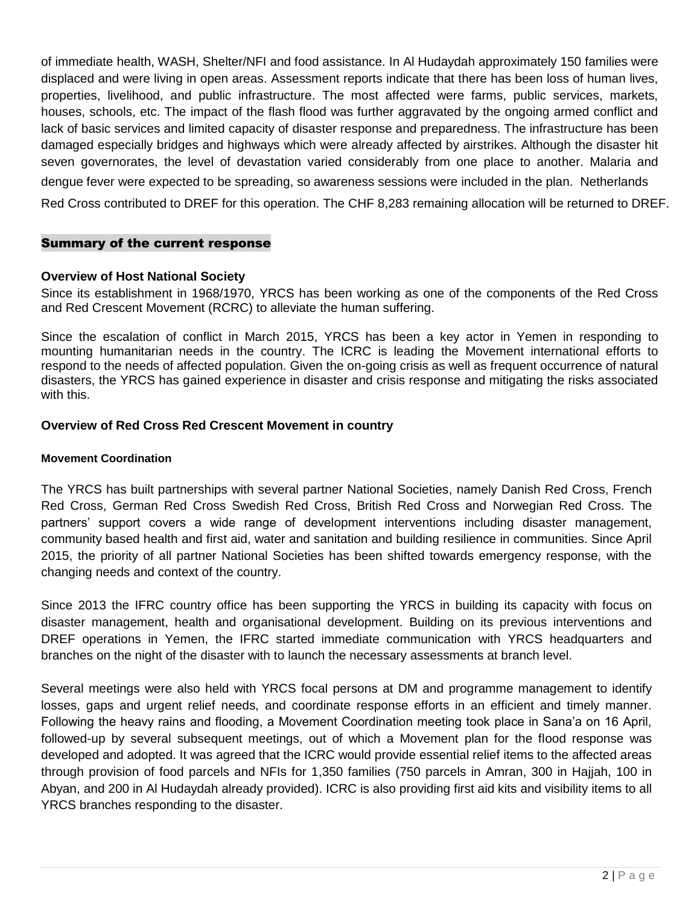of immediate health, WASH, Shelter/NFI and food assistance. In Al Hudaydah approximately 150 families were displaced and were living in open areas. Assessment reports indicate that there has been loss of human lives, properties, livelihood, and public infrastructure. The most affected were farms, public services, markets, houses, schools, etc. The impact of the flash flood was further aggravated by the ongoing armed conflict and lack of basic services and limited capacity of disaster response and preparedness. The infrastructure has been damaged especially bridges and highways which were already affected by airstrikes. Although the disaster hit seven governorates, the level of devastation varied considerably from one place to another. Malaria and dengue fever were expected to be spreading, so awareness sessions were included in the plan. Netherlands Red Cross contributed to DREF for this operation. The CHF 8,283 remaining allocation will be returned to DREF.

### Summary of the current response

### **Overview of Host National Society**

Since its establishment in 1968/1970, YRCS has been working as one of the components of the Red Cross and Red Crescent Movement (RCRC) to alleviate the human suffering.

Since the escalation of conflict in March 2015, YRCS has been a key actor in Yemen in responding to mounting humanitarian needs in the country. The ICRC is leading the Movement international efforts to respond to the needs of affected population. Given the on-going crisis as well as frequent occurrence of natural disasters, the YRCS has gained experience in disaster and crisis response and mitigating the risks associated with this.

### **Overview of Red Cross Red Crescent Movement in country**

#### **Movement Coordination**

The YRCS has built partnerships with several partner National Societies, namely Danish Red Cross, French Red Cross, German Red Cross Swedish Red Cross, British Red Cross and Norwegian Red Cross. The partners' support covers a wide range of development interventions including disaster management, community based health and first aid, water and sanitation and building resilience in communities. Since April 2015, the priority of all partner National Societies has been shifted towards emergency response, with the changing needs and context of the country.

Since 2013 the IFRC country office has been supporting the YRCS in building its capacity with focus on disaster management, health and organisational development. Building on its previous interventions and DREF operations in Yemen, the IFRC started immediate communication with YRCS headquarters and branches on the night of the disaster with to launch the necessary assessments at branch level.

Several meetings were also held with YRCS focal persons at DM and programme management to identify losses, gaps and urgent relief needs, and coordinate response efforts in an efficient and timely manner. Following the heavy rains and flooding, a Movement Coordination meeting took place in Sana'a on 16 April, followed-up by several subsequent meetings, out of which a Movement plan for the flood response was developed and adopted. It was agreed that the ICRC would provide essential relief items to the affected areas through provision of food parcels and NFIs for 1,350 families (750 parcels in Amran, 300 in Hajjah, 100 in Abyan, and 200 in Al Hudaydah already provided). ICRC is also providing first aid kits and visibility items to all YRCS branches responding to the disaster.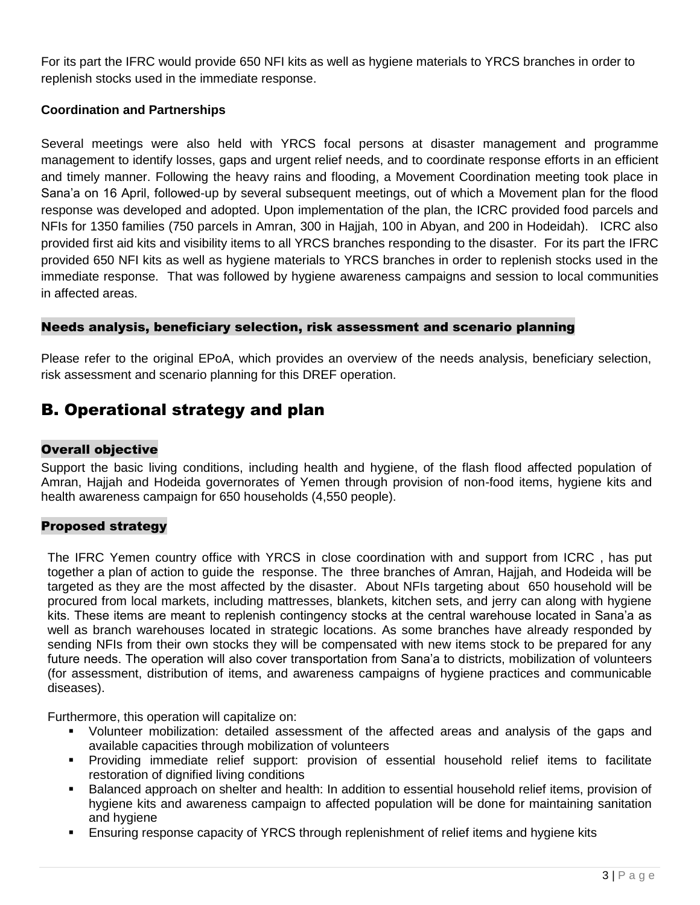For its part the IFRC would provide 650 NFI kits as well as hygiene materials to YRCS branches in order to replenish stocks used in the immediate response.

### **Coordination and Partnerships**

Several meetings were also held with YRCS focal persons at disaster management and programme management to identify losses, gaps and urgent relief needs, and to coordinate response efforts in an efficient and timely manner. Following the heavy rains and flooding, a Movement Coordination meeting took place in Sana'a on 16 April, followed-up by several subsequent meetings, out of which a Movement plan for the flood response was developed and adopted. Upon implementation of the plan, the ICRC provided food parcels and NFIs for 1350 families (750 parcels in Amran, 300 in Hajjah, 100 in Abyan, and 200 in Hodeidah). ICRC also provided first aid kits and visibility items to all YRCS branches responding to the disaster. For its part the IFRC provided 650 NFI kits as well as hygiene materials to YRCS branches in order to replenish stocks used in the immediate response. That was followed by hygiene awareness campaigns and session to local communities in affected areas.

### Needs analysis, beneficiary selection, risk assessment and scenario planning

Please refer to the original EPoA, which provides an overview of the needs analysis, beneficiary selection, risk assessment and scenario planning for this DREF operation.

## B. Operational strategy and plan

### Overall objective

Support the basic living conditions, including health and hygiene, of the flash flood affected population of Amran, Hajjah and Hodeida governorates of Yemen through provision of non-food items, hygiene kits and health awareness campaign for 650 households (4,550 people).

### Proposed strategy

The IFRC Yemen country office with YRCS in close coordination with and support from ICRC , has put together a plan of action to guide the response. The three branches of Amran, Hajjah, and Hodeida will be targeted as they are the most affected by the disaster. About NFIs targeting about 650 household will be procured from local markets, including mattresses, blankets, kitchen sets, and jerry can along with hygiene kits. These items are meant to replenish contingency stocks at the central warehouse located in Sana'a as well as branch warehouses located in strategic locations. As some branches have already responded by sending NFIs from their own stocks they will be compensated with new items stock to be prepared for any future needs. The operation will also cover transportation from Sana'a to districts, mobilization of volunteers (for assessment, distribution of items, and awareness campaigns of hygiene practices and communicable diseases).

Furthermore, this operation will capitalize on:

- Volunteer mobilization: detailed assessment of the affected areas and analysis of the gaps and available capacities through mobilization of volunteers
- Providing immediate relief support: provision of essential household relief items to facilitate restoration of dignified living conditions
- Balanced approach on shelter and health: In addition to essential household relief items, provision of hygiene kits and awareness campaign to affected population will be done for maintaining sanitation and hygiene
- Ensuring response capacity of YRCS through replenishment of relief items and hygiene kits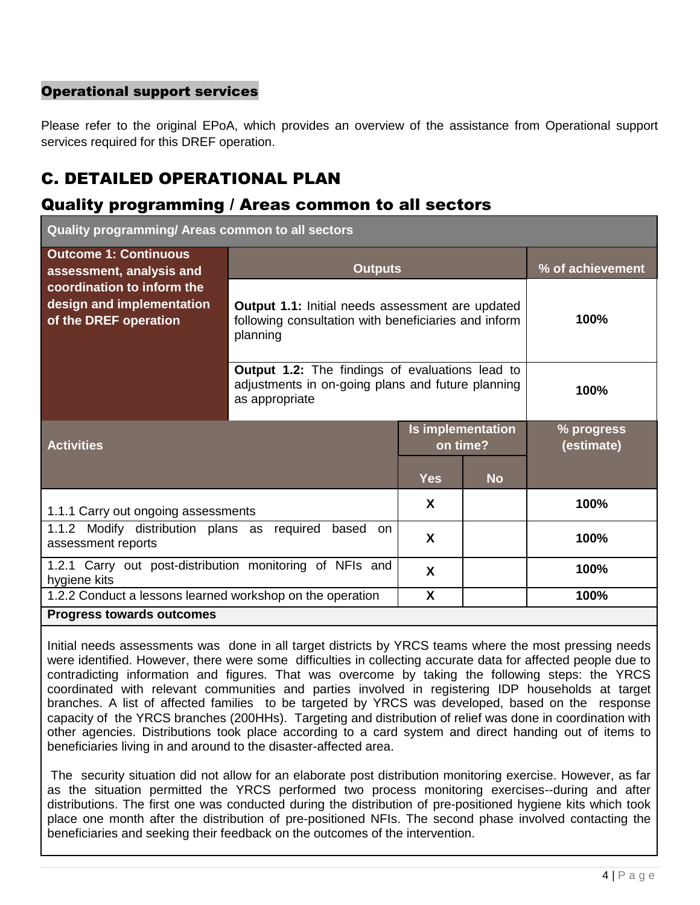### Operational support services

Please refer to the original EPoA, which provides an overview of the assistance from Operational support services required for this DREF operation.

## C. DETAILED OPERATIONAL PLAN

## Quality programming / Areas common to all sectors

**Quality programming/ Areas common to all sectors**

| <b>Outcome 1: Continuous</b><br>assessment, analysis and                         | <b>Outputs</b>                                                                                                              | % of achievement                                                                                            |           |                          |  |  |  |
|----------------------------------------------------------------------------------|-----------------------------------------------------------------------------------------------------------------------------|-------------------------------------------------------------------------------------------------------------|-----------|--------------------------|--|--|--|
| coordination to inform the<br>design and implementation<br>of the DREF operation | <b>Output 1.1:</b> Initial needs assessment are updated<br>following consultation with beneficiaries and inform<br>planning | 100%                                                                                                        |           |                          |  |  |  |
|                                                                                  | as appropriate                                                                                                              | <b>Output 1.2:</b> The findings of evaluations lead to<br>adjustments in on-going plans and future planning |           |                          |  |  |  |
| <b>Activities</b>                                                                |                                                                                                                             | <b>Is implementation</b><br>on time?                                                                        |           | % progress<br>(estimate) |  |  |  |
|                                                                                  |                                                                                                                             | <b>Yes</b>                                                                                                  | <b>No</b> |                          |  |  |  |
| 1.1.1 Carry out ongoing assessments                                              |                                                                                                                             | X                                                                                                           |           | 100%                     |  |  |  |
| 1.1.2 Modify distribution plans as required<br>assessment reports                | X                                                                                                                           |                                                                                                             | 100%      |                          |  |  |  |
| 1.2.1 Carry out post-distribution monitoring of NFIs and<br>hygiene kits         |                                                                                                                             | X                                                                                                           |           | 100%                     |  |  |  |
| 1.2.2 Conduct a lessons learned workshop on the operation                        |                                                                                                                             | X                                                                                                           |           | 100%                     |  |  |  |
| <b>Progress towards outcomes</b>                                                 |                                                                                                                             |                                                                                                             |           |                          |  |  |  |

Initial needs assessments was done in all target districts by YRCS teams where the most pressing needs were identified. However, there were some difficulties in collecting accurate data for affected people due to contradicting information and figures. That was overcome by taking the following steps: the YRCS coordinated with relevant communities and parties involved in registering IDP households at target branches. A list of affected families to be targeted by YRCS was developed, based on the response capacity of the YRCS branches (200HHs). Targeting and distribution of relief was done in coordination with other agencies. Distributions took place according to a card system and direct handing out of items to beneficiaries living in and around to the disaster-affected area.

The security situation did not allow for an elaborate post distribution monitoring exercise. However, as far as the situation permitted the YRCS performed two process monitoring exercises--during and after distributions. The first one was conducted during the distribution of pre-positioned hygiene kits which took place one month after the distribution of pre-positioned NFIs. The second phase involved contacting the beneficiaries and seeking their feedback on the outcomes of the intervention.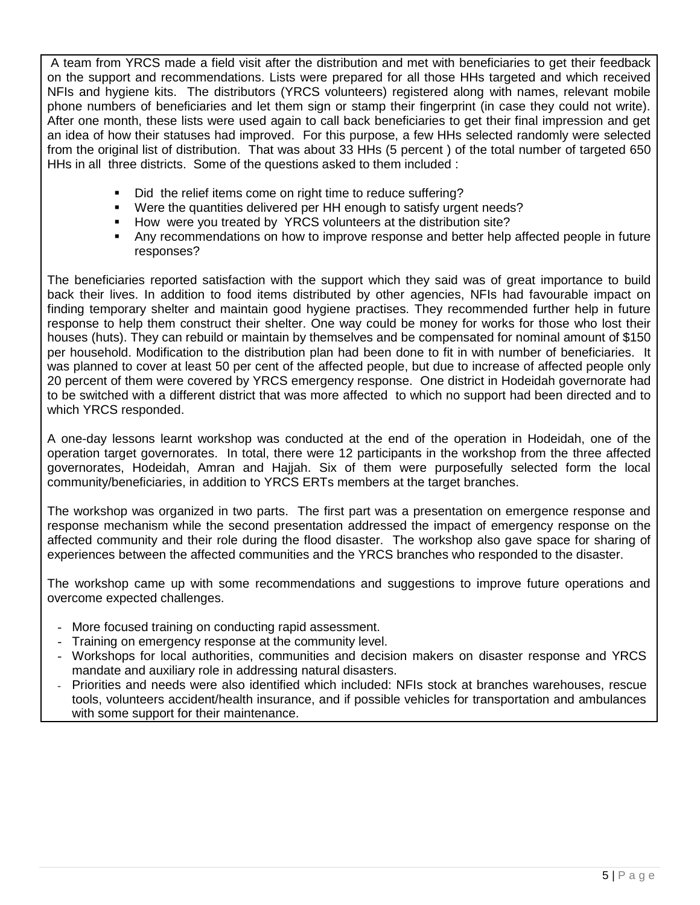A team from YRCS made a field visit after the distribution and met with beneficiaries to get their feedback on the support and recommendations. Lists were prepared for all those HHs targeted and which received NFIs and hygiene kits. The distributors (YRCS volunteers) registered along with names, relevant mobile phone numbers of beneficiaries and let them sign or stamp their fingerprint (in case they could not write). After one month, these lists were used again to call back beneficiaries to get their final impression and get an idea of how their statuses had improved. For this purpose, a few HHs selected randomly were selected from the original list of distribution. That was about 33 HHs (5 percent ) of the total number of targeted 650 HHs in all three districts. Some of the questions asked to them included :

- Did the relief items come on right time to reduce suffering?
- Were the quantities delivered per HH enough to satisfy urgent needs?
- **How were you treated by YRCS volunteers at the distribution site?**
- Any recommendations on how to improve response and better help affected people in future responses?

The beneficiaries reported satisfaction with the support which they said was of great importance to build back their lives. In addition to food items distributed by other agencies, NFIs had favourable impact on finding temporary shelter and maintain good hygiene practises. They recommended further help in future response to help them construct their shelter. One way could be money for works for those who lost their houses (huts). They can rebuild or maintain by themselves and be compensated for nominal amount of \$150 per household. Modification to the distribution plan had been done to fit in with number of beneficiaries. It was planned to cover at least 50 per cent of the affected people, but due to increase of affected people only 20 percent of them were covered by YRCS emergency response. One district in Hodeidah governorate had to be switched with a different district that was more affected to which no support had been directed and to which YRCS responded.

A one-day lessons learnt workshop was conducted at the end of the operation in Hodeidah, one of the operation target governorates. In total, there were 12 participants in the workshop from the three affected governorates, Hodeidah, Amran and Hajjah. Six of them were purposefully selected form the local community/beneficiaries, in addition to YRCS ERTs members at the target branches.

The workshop was organized in two parts. The first part was a presentation on emergence response and response mechanism while the second presentation addressed the impact of emergency response on the affected community and their role during the flood disaster. The workshop also gave space for sharing of experiences between the affected communities and the YRCS branches who responded to the disaster.

The workshop came up with some recommendations and suggestions to improve future operations and overcome expected challenges.

- More focused training on conducting rapid assessment.
- Training on emergency response at the community level.
- Workshops for local authorities, communities and decision makers on disaster response and YRCS mandate and auxiliary role in addressing natural disasters.
- Priorities and needs were also identified which included: NFIs stock at branches warehouses, rescue tools, volunteers accident/health insurance, and if possible vehicles for transportation and ambulances with some support for their maintenance.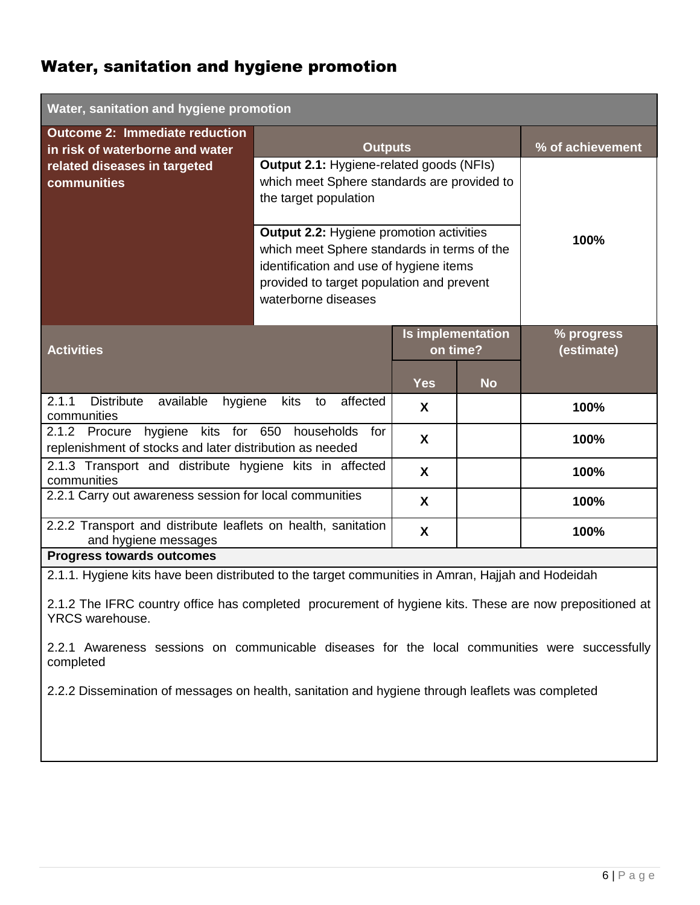## Water, sanitation and hygiene promotion

| Water, sanitation and hygiene promotion                                                           |                                                                                                                                                                                                               |                               |           |                          |  |  |  |
|---------------------------------------------------------------------------------------------------|---------------------------------------------------------------------------------------------------------------------------------------------------------------------------------------------------------------|-------------------------------|-----------|--------------------------|--|--|--|
| <b>Outcome 2: Immediate reduction</b><br>in risk of waterborne and water                          | <b>Outputs</b>                                                                                                                                                                                                |                               |           | % of achievement         |  |  |  |
| related diseases in targeted<br>communities                                                       | <b>Output 2.1: Hygiene-related goods (NFIs)</b><br>which meet Sphere standards are provided to<br>the target population                                                                                       |                               |           |                          |  |  |  |
|                                                                                                   | <b>Output 2.2: Hygiene promotion activities</b><br>which meet Sphere standards in terms of the<br>identification and use of hygiene items<br>provided to target population and prevent<br>waterborne diseases | 100%                          |           |                          |  |  |  |
| <b>Activities</b>                                                                                 |                                                                                                                                                                                                               | Is implementation<br>on time? |           | % progress<br>(estimate) |  |  |  |
|                                                                                                   |                                                                                                                                                                                                               | <b>Yes</b>                    | <b>No</b> |                          |  |  |  |
| 2.1.1<br><b>Distribute</b><br>available<br>hygiene<br>communities                                 | affected<br>kits<br>to                                                                                                                                                                                        | X                             |           | 100%                     |  |  |  |
| hygiene kits for 650<br>2.1.2 Procure<br>replenishment of stocks and later distribution as needed | households<br>for                                                                                                                                                                                             | X                             |           | 100%                     |  |  |  |
| 2.1.3 Transport and distribute hygiene kits in affected<br>communities                            | X                                                                                                                                                                                                             |                               | 100%      |                          |  |  |  |
| 2.2.1 Carry out awareness session for local communities                                           | X                                                                                                                                                                                                             |                               | 100%      |                          |  |  |  |
| 2.2.2 Transport and distribute leaflets on health, sanitation<br>and hygiene messages             |                                                                                                                                                                                                               | X                             |           | 100%                     |  |  |  |
| <b>Progress towards outcomes</b>                                                                  |                                                                                                                                                                                                               |                               |           |                          |  |  |  |

2.1.1. Hygiene kits have been distributed to the target communities in Amran, Hajjah and Hodeidah

2.1.2 The IFRC country office has completed procurement of hygiene kits. These are now prepositioned at YRCS warehouse.

2.2.1 Awareness sessions on communicable diseases for the local communities were successfully completed

2.2.2 Dissemination of messages on health, sanitation and hygiene through leaflets was completed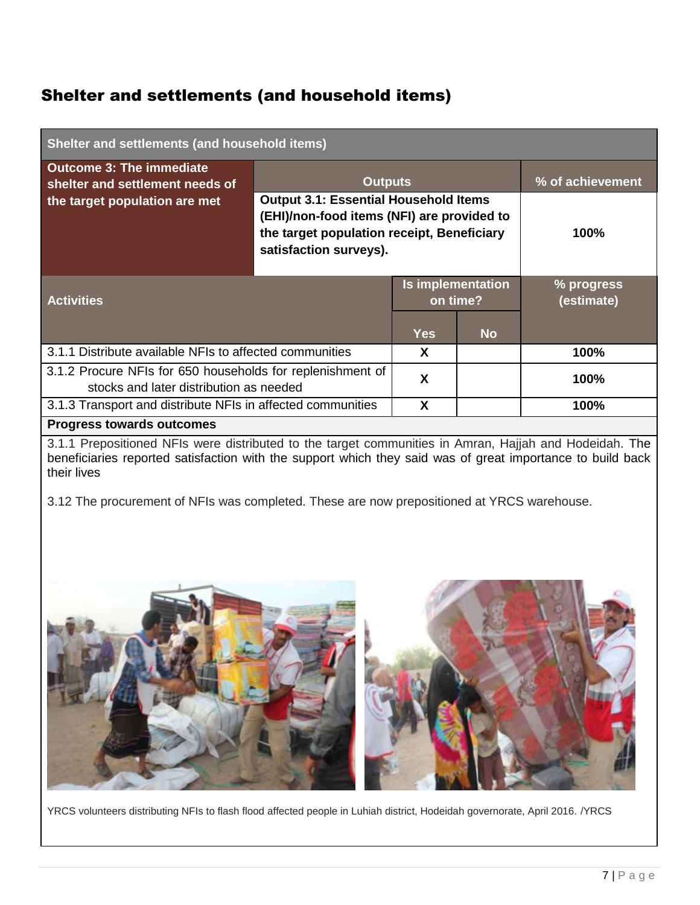## Shelter and settlements (and household items)

| Shelter and settlements (and household items)                                                         |                                                                                                                                                                    |                               |           |                          |  |  |  |
|-------------------------------------------------------------------------------------------------------|--------------------------------------------------------------------------------------------------------------------------------------------------------------------|-------------------------------|-----------|--------------------------|--|--|--|
| <b>Outcome 3: The immediate</b><br>shelter and settlement needs of                                    |                                                                                                                                                                    | <b>Outputs</b>                |           |                          |  |  |  |
| the target population are met                                                                         | <b>Output 3.1: Essential Household Items</b><br>(EHI)/non-food items (NFI) are provided to<br>the target population receipt, Beneficiary<br>satisfaction surveys). | 100%                          |           |                          |  |  |  |
| <b>Activities</b>                                                                                     |                                                                                                                                                                    | Is implementation<br>on time? |           | % progress<br>(estimate) |  |  |  |
|                                                                                                       |                                                                                                                                                                    | <b>Yes</b>                    | <b>No</b> |                          |  |  |  |
| 3.1.1 Distribute available NFIs to affected communities                                               |                                                                                                                                                                    | X                             |           | 100%                     |  |  |  |
| 3.1.2 Procure NFIs for 650 households for replenishment of<br>stocks and later distribution as needed |                                                                                                                                                                    |                               |           | 100%                     |  |  |  |
| 3.1.3 Transport and distribute NFIs in affected communities                                           |                                                                                                                                                                    |                               |           | 100%                     |  |  |  |
| <b>Progress towards outcomes</b>                                                                      |                                                                                                                                                                    |                               |           |                          |  |  |  |

3.1.1 Prepositioned NFIs were distributed to the target communities in Amran, Hajjah and Hodeidah. The beneficiaries reported satisfaction with the support which they said was of great importance to build back their lives

3.12 The procurement of NFIs was completed. These are now prepositioned at YRCS warehouse.



YRCS volunteers distributing NFIs to flash flood affected people in Luhiah district, Hodeidah governorate, April 2016. /YRCS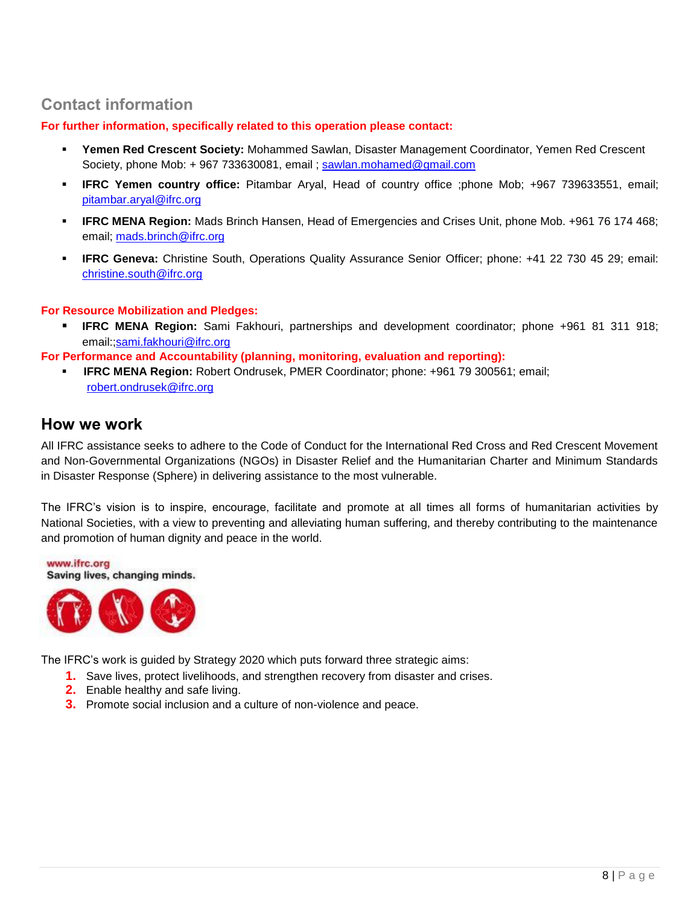## **Contact information**

**For further information, specifically related to this operation please contact:**

- **Yemen Red Crescent Society:** Mohammed Sawlan, Disaster Management Coordinator, Yemen Red Crescent Society, phone Mob: + 967 733630081, email ; [sawlan.mohamed@gmail.com](mailto:sawlan.mohamed@gmail.com)
- **IFRC Yemen country office:** Pitambar Aryal, Head of country office ;phone Mob; +967 739633551, email; [pitambar.aryal@ifrc.org](mailto:pitambar.aryal@ifrc.org)
- **IFRC MENA Region:** Mads Brinch Hansen, Head of Emergencies and Crises Unit, phone Mob. +961 76 174 468; email; [mads.brinch@ifrc.org](mailto:mads.brinch@ifrc.org)
- **IFRC Geneva:** Christine South, Operations Quality Assurance Senior Officer; phone: +41 22 730 45 29; email: [christine.south@ifrc.org](mailto:christine.south@ifrc.org)

### **For Resource Mobilization and Pledges:**

 **IFRC MENA Region:** Sami Fakhouri, partnerships and development coordinator; phone +961 81 311 918; email:[;sami.fakhouri@ifrc.org](mailto:sami.fakhouri@ifrc.org)

**For Performance and Accountability (planning, monitoring, evaluation and reporting):** 

 **IFRC MENA Region:** Robert Ondrusek, PMER Coordinator; phone: +961 79 300561; email; robert.ondrusek@ifrc.org

### **How we work**

All IFRC assistance seeks to adhere to the Code of Conduct for the International Red Cross and Red Crescent Movement and Non-Governmental Organizations (NGOs) in Disaster Relief and the Humanitarian Charter and Minimum Standards in Disaster Response (Sphere) in delivering assistance to the most vulnerable.

The IFRC's vision is to inspire, encourage, facilitate and promote at all times all forms of humanitarian activities by National Societies, with a view to preventing and alleviating human suffering, and thereby contributing to the maintenance and promotion of human dignity and peace in the world.

www.ifrc.org Saving lives, changing minds.



The IFRC's work is guided by Strategy 2020 which puts forward three strategic aims:

- **1.** Save lives, protect livelihoods, and strengthen recovery from disaster and crises.
- **2.** Enable healthy and safe living.
- **3.** Promote social inclusion and a culture of non-violence and peace.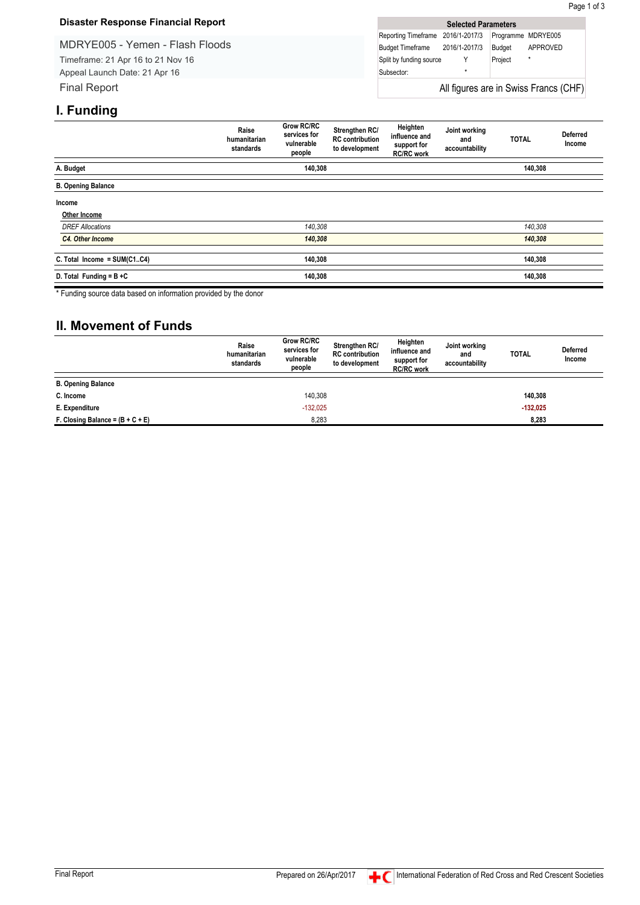#### **Disaster Response Financial Report**

MDRYE005 - Yemen - Flash Floods Timeframe: 21 Apr 16 to 21 Nov 16 Appeal Launch Date: 21 Apr 16 Final Report

| <b>Selected Parameters</b>            |   |         |                    |  |  |  |  |  |
|---------------------------------------|---|---------|--------------------|--|--|--|--|--|
| Reporting Timeframe 2016/1-2017/3     |   |         | Programme MDRYE005 |  |  |  |  |  |
| Budget Timeframe 2016/1-2017/3        |   | Budget  | APPROVED           |  |  |  |  |  |
| Split by funding source               |   | Project | $\star$            |  |  |  |  |  |
| Subsector:                            | ÷ |         |                    |  |  |  |  |  |
| All figures are in Swiss Francs (CHF) |   |         |                    |  |  |  |  |  |

### **I. Funding**

|                                | Raise<br>humanitarian<br>standards | <b>Grow RC/RC</b><br>services for<br>vulnerable<br>people | Strengthen RC/<br><b>RC</b> contribution<br>to development | Heighten<br>influence and<br>support for<br><b>RC/RC work</b> | Joint working<br>and<br>accountability | <b>TOTAL</b> | <b>Deferred</b><br>Income |
|--------------------------------|------------------------------------|-----------------------------------------------------------|------------------------------------------------------------|---------------------------------------------------------------|----------------------------------------|--------------|---------------------------|
| A. Budget                      | 140,308                            |                                                           |                                                            |                                                               | 140,308                                |              |                           |
| <b>B. Opening Balance</b>      |                                    |                                                           |                                                            |                                                               |                                        |              |                           |
| Income                         |                                    |                                                           |                                                            |                                                               |                                        |              |                           |
| Other Income                   |                                    |                                                           |                                                            |                                                               |                                        |              |                           |
| <b>DREF Allocations</b>        |                                    | 140,308                                                   |                                                            |                                                               |                                        | 140,308      |                           |
| C4. Other Income               |                                    | 140,308                                                   |                                                            |                                                               |                                        | 140,308      |                           |
| C. Total Income = $SUM(C1.C4)$ |                                    | 140,308                                                   |                                                            |                                                               |                                        | 140,308      |                           |
| D. Total Funding = $B + C$     |                                    | 140,308                                                   |                                                            |                                                               |                                        | 140,308      |                           |

\* Funding source data based on information provided by the donor

### **II. Movement of Funds**

|                                    | Raise<br>humanitarian<br>standards | <b>Grow RC/RC</b><br>services for<br>vulnerable<br>people | Strengthen RC/<br><b>RC</b> contribution<br>to development | Heighten<br>influence and<br>support for<br><b>RC/RC</b> work | Joint working<br>and<br>accountability | <b>TOTAL</b> | <b>Deferred</b><br>Income |
|------------------------------------|------------------------------------|-----------------------------------------------------------|------------------------------------------------------------|---------------------------------------------------------------|----------------------------------------|--------------|---------------------------|
| <b>B. Opening Balance</b>          |                                    |                                                           |                                                            |                                                               |                                        |              |                           |
| C. Income                          |                                    | 140.308                                                   |                                                            |                                                               |                                        | 140.308      |                           |
| E. Expenditure                     |                                    | $-132,025$                                                |                                                            |                                                               |                                        | $-132,025$   |                           |
| F. Closing Balance = $(B + C + E)$ |                                    | 8,283                                                     |                                                            |                                                               |                                        | 8,283        |                           |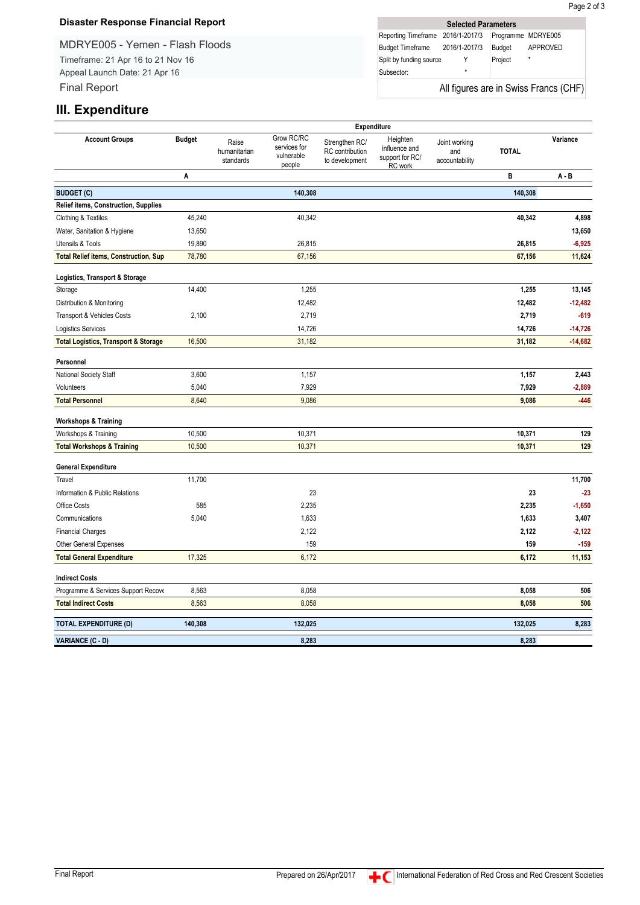#### **Disaster Response Financial Report**

MDRYE005 - Yemen - Flash Floods Timeframe: 21 Apr 16 to 21 Nov 16 Appeal Launch Date: 21 Apr 16 Final Report

|                                   | <b>Selected Parameters</b> |         |                                       |
|-----------------------------------|----------------------------|---------|---------------------------------------|
| Reporting Timeframe 2016/1-2017/3 |                            |         | Programme MDRYE005                    |
| Budget Timeframe 2016/1-2017/3    |                            | Budget  | APPROVED                              |
| Split by funding source           |                            | Project | $\star$                               |
| Subsector:                        | ÷                          |         |                                       |
|                                   |                            |         | All figures are in Swiss Francs (CHF) |

### **III. Expenditure**

|                                                 |               |                                    |                                                    |                                                     | <b>Expenditure</b>                                      |                                        |              |           |
|-------------------------------------------------|---------------|------------------------------------|----------------------------------------------------|-----------------------------------------------------|---------------------------------------------------------|----------------------------------------|--------------|-----------|
| <b>Account Groups</b>                           | <b>Budget</b> | Raise<br>humanitarian<br>standards | Grow RC/RC<br>services for<br>vulnerable<br>people | Strengthen RC/<br>RC contribution<br>to development | Heighten<br>influence and<br>support for RC/<br>RC work | Joint working<br>and<br>accountability | <b>TOTAL</b> | Variance  |
|                                                 | Α             |                                    |                                                    |                                                     |                                                         |                                        | В            | $A - B$   |
| <b>BUDGET (C)</b>                               |               |                                    | 140,308                                            |                                                     |                                                         |                                        | 140,308      |           |
| Relief items, Construction, Supplies            |               |                                    |                                                    |                                                     |                                                         |                                        |              |           |
| Clothing & Textiles                             | 45,240        |                                    | 40,342                                             |                                                     |                                                         |                                        | 40,342       | 4,898     |
| Water, Sanitation & Hygiene                     | 13,650        |                                    |                                                    |                                                     |                                                         |                                        |              | 13,650    |
| Utensils & Tools                                | 19,890        |                                    | 26,815                                             |                                                     |                                                         |                                        | 26,815       | $-6,925$  |
| <b>Total Relief items, Construction, Sup</b>    | 78,780        |                                    | 67,156                                             |                                                     |                                                         |                                        | 67,156       | 11,624    |
| Logistics, Transport & Storage                  |               |                                    |                                                    |                                                     |                                                         |                                        |              |           |
| Storage                                         | 14,400        |                                    | 1,255                                              |                                                     |                                                         |                                        | 1,255        | 13,145    |
| Distribution & Monitoring                       |               |                                    | 12,482                                             |                                                     |                                                         |                                        | 12,482       | $-12,482$ |
| Transport & Vehicles Costs                      | 2,100         |                                    | 2,719                                              |                                                     |                                                         |                                        | 2,719        | $-619$    |
| Logistics Services                              |               |                                    | 14,726                                             |                                                     |                                                         |                                        | 14,726       | $-14,726$ |
| <b>Total Logistics, Transport &amp; Storage</b> | 16,500        |                                    | 31,182                                             |                                                     |                                                         |                                        | 31,182       | $-14,682$ |
| Personnel                                       |               |                                    |                                                    |                                                     |                                                         |                                        |              |           |
| National Society Staff                          | 3,600         |                                    | 1,157                                              |                                                     |                                                         |                                        | 1,157        | 2,443     |
| Volunteers                                      | 5,040         |                                    | 7,929                                              |                                                     |                                                         |                                        | 7,929        | $-2,889$  |
| <b>Total Personnel</b>                          | 8,640         |                                    | 9,086                                              |                                                     |                                                         |                                        | 9,086        | $-446$    |
| <b>Workshops &amp; Training</b>                 |               |                                    |                                                    |                                                     |                                                         |                                        |              |           |
| Workshops & Training                            | 10,500        |                                    | 10,371                                             |                                                     |                                                         |                                        | 10,371       | 129       |
| <b>Total Workshops &amp; Training</b>           | 10,500        |                                    | 10,371                                             |                                                     |                                                         |                                        | 10,371       | 129       |
| <b>General Expenditure</b>                      |               |                                    |                                                    |                                                     |                                                         |                                        |              |           |
| Travel                                          | 11,700        |                                    |                                                    |                                                     |                                                         |                                        |              | 11,700    |
| Information & Public Relations                  |               |                                    | 23                                                 |                                                     |                                                         |                                        | 23           | $-23$     |
| Office Costs                                    | 585           |                                    | 2,235                                              |                                                     |                                                         |                                        | 2,235        | $-1,650$  |
| Communications                                  | 5,040         |                                    | 1,633                                              |                                                     |                                                         |                                        | 1,633        | 3,407     |
| <b>Financial Charges</b>                        |               |                                    | 2,122                                              |                                                     |                                                         |                                        | 2,122        | $-2,122$  |
| Other General Expenses                          |               |                                    | 159                                                |                                                     |                                                         |                                        | 159          | $-159$    |
| <b>Total General Expenditure</b>                | 17,325        |                                    | 6,172                                              |                                                     |                                                         |                                        | 6,172        | 11,153    |
| <b>Indirect Costs</b>                           |               |                                    |                                                    |                                                     |                                                         |                                        |              |           |
| Programme & Services Support Recove             | 8,563         |                                    | 8,058                                              |                                                     |                                                         |                                        | 8,058        | 506       |
| <b>Total Indirect Costs</b>                     | 8,563         |                                    | 8,058                                              |                                                     |                                                         |                                        | 8,058        | 506       |
| <b>TOTAL EXPENDITURE (D)</b>                    | 140,308       |                                    | 132,025                                            |                                                     |                                                         |                                        | 132,025      | 8,283     |
| VARIANCE (C - D)                                |               |                                    | 8,283                                              |                                                     |                                                         |                                        | 8,283        |           |